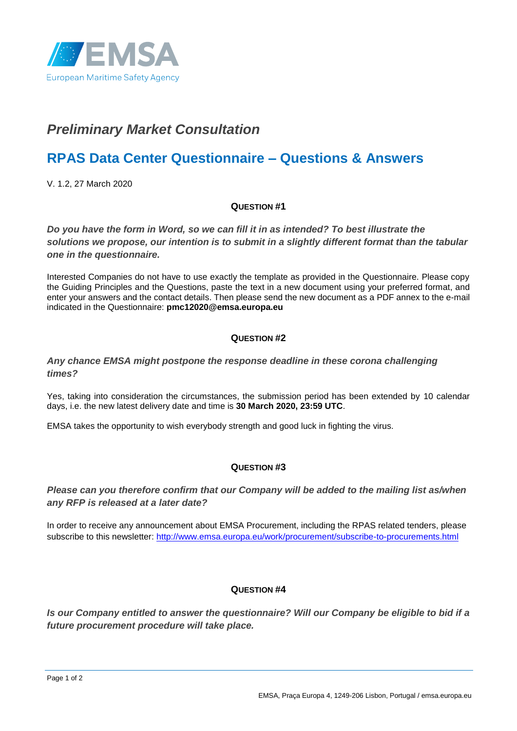

# *Preliminary Market Consultation*

# **RPAS Data Center Questionnaire – Questions & Answers**

V. 1.2, 27 March 2020

#### **QUESTION #1**

*Do you have the form in Word, so we can fill it in as intended? To best illustrate the solutions we propose, our intention is to submit in a slightly different format than the tabular one in the questionnaire.*

Interested Companies do not have to use exactly the template as provided in the Questionnaire. Please copy the Guiding Principles and the Questions, paste the text in a new document using your preferred format, and enter your answers and the contact details. Then please send the new document as a PDF annex to the e-mail indicated in the Questionnaire: **pmc12020@emsa.europa.eu**

#### **QUESTION #2**

#### *Any chance EMSA might postpone the response deadline in these corona challenging times?*

Yes, taking into consideration the circumstances, the submission period has been extended by 10 calendar days, i.e. the new latest delivery date and time is **30 March 2020, 23:59 UTC**.

EMSA takes the opportunity to wish everybody strength and good luck in fighting the virus.

### **QUESTION #3**

## *Please can you therefore confirm that our Company will be added to the mailing list as/when any RFP is released at a later date?*

In order to receive any announcement about EMSA Procurement, including the RPAS related tenders, please subscribe to this newsletter:<http://www.emsa.europa.eu/work/procurement/subscribe-to-procurements.html>

### **QUESTION #4**

*Is our Company entitled to answer the questionnaire? Will our Company be eligible to bid if a future procurement procedure will take place.*